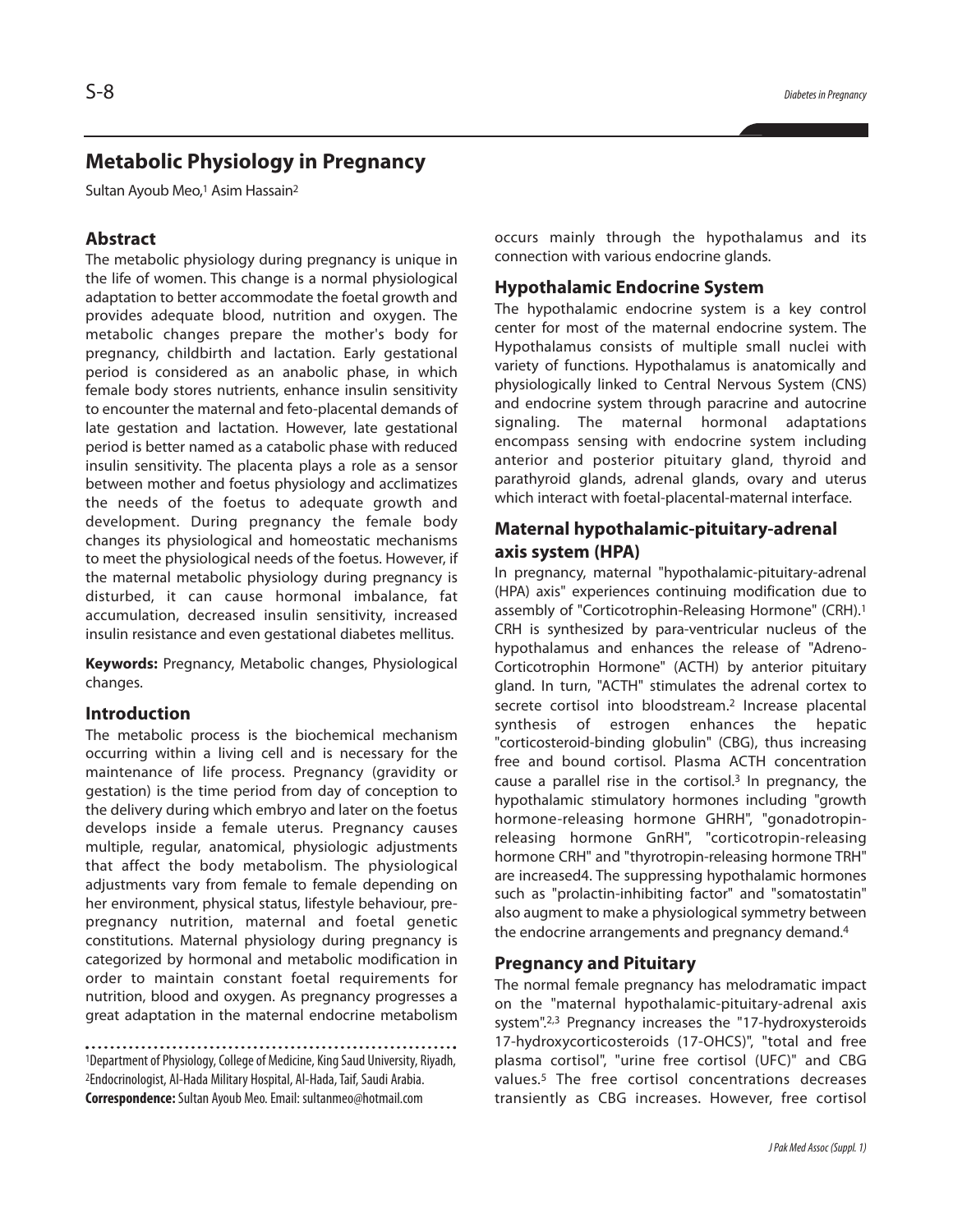# **Metabolic Physiology in Pregnancy**

Sultan Ayoub Meo,<sup>1</sup> Asim Hassain<sup>2</sup>

# **Abstract**

The metabolic physiology during pregnancy is unique in the life of women. This change is a normal physiological adaptation to better accommodate the foetal growth and provides adequate blood, nutrition and oxygen. The metabolic changes prepare the mother's body for pregnancy, childbirth and lactation. Early gestational period is considered as an anabolic phase, in which female body stores nutrients, enhance insulin sensitivity to encounter the maternal and feto-placental demands of late gestation and lactation. However, late gestational period is better named as a catabolic phase with reduced insulin sensitivity. The placenta plays a role as a sensor between mother and foetus physiology and acclimatizes the needs of the foetus to adequate growth and development. During pregnancy the female body changes its physiological and homeostatic mechanisms to meet the physiological needs of the foetus. However, if the maternal metabolic physiology during pregnancy is disturbed, it can cause hormonal imbalance, fat accumulation, decreased insulin sensitivity, increased insulin resistance and even gestational diabetes mellitus.

**Keywords:** Pregnancy, Metabolic changes, Physiological changes.

#### **Introduction**

The metabolic process is the biochemical mechanism occurring within a living cell and is necessary for the maintenance of life process. Pregnancy (gravidity or gestation) is the time period from day of conception to the delivery during which embryo and later on the foetus develops inside a female uterus. Pregnancy causes multiple, regular, anatomical, physiologic adjustments that affect the body metabolism. The physiological adjustments vary from female to female depending on her environment, physical status, lifestyle behaviour, prepregnancy nutrition, maternal and foetal genetic constitutions. Maternal physiology during pregnancy is categorized by hormonal and metabolic modification in order to maintain constant foetal requirements for nutrition, blood and oxygen. As pregnancy progresses a great adaptation in the maternal endocrine metabolism

<sup>1</sup>Department of Physiology, College of Medicine, King Saud University, Riyadh, 2Endocrinologist, Al-Hada Military Hospital, Al-Hada,Taif,Saudi Arabia. **Correspondence:**Sultan Ayoub Meo.Email: sultanmeo@hotmail.com

occurs mainly through the hypothalamus and its connection with various endocrine glands.

#### **Hypothalamic Endocrine System**

The hypothalamic endocrine system is a key control center for most of the maternal endocrine system. The Hypothalamus consists of multiple small nuclei with variety of functions. Hypothalamus is anatomically and physiologically linked to Central Nervous System (CNS) and endocrine system through paracrine and autocrine signaling. The maternal hormonal adaptations encompass sensing with endocrine system including anterior and posterior pituitary gland, thyroid and parathyroid glands, adrenal glands, ovary and uterus which interact with foetal-placental-maternal interface.

# **Maternal hypothalamic-pituitary-adrenal axis system (HPA)**

In pregnancy, maternal "hypothalamic-pituitary-adrenal (HPA) axis" experiences continuing modification due to assembly of "Corticotrophin-Releasing Hormone" (CRH). 1 CRH is synthesized by para-ventricular nucleus of the hypothalamus and enhances the release of "Adreno-Corticotrophin Hormone" (ACTH) by anterior pituitary gland. In turn, "ACTH" stimulates the adrenal cortex to secrete cortisol into bloodstream. <sup>2</sup> Increase placental synthesis of estrogen enhances the hepatic "corticosteroid-binding globulin" (CBG), thus increasing free and bound cortisol. Plasma ACTH concentration cause a parallel rise in the cortisol. <sup>3</sup> In pregnancy, the hypothalamic stimulatory hormones including "growth hormone-releasing hormone GHRH", "gonadotropinreleasing hormone GnRH", "corticotropin-releasing hormone CRH" and "thyrotropin-releasing hormone TRH" are increased4. The suppressing hypothalamic hormones such as "prolactin-inhibiting factor" and "somatostatin" also augment to make a physiological symmetry between the endocrine arrangements and pregnancy demand. 4

#### **Pregnancy and Pituitary**

The normal female pregnancy has melodramatic impact on the "maternal hypothalamic-pituitary-adrenal axis system". 2,3 Pregnancy increases the "17-hydroxysteroids 17-hydroxycorticosteroids (17-OHCS)", "total and free plasma cortisol", "urine free cortisol (UFC)" and CBG values. <sup>5</sup> The free cortisol concentrations decreases transiently as CBG increases. However, free cortisol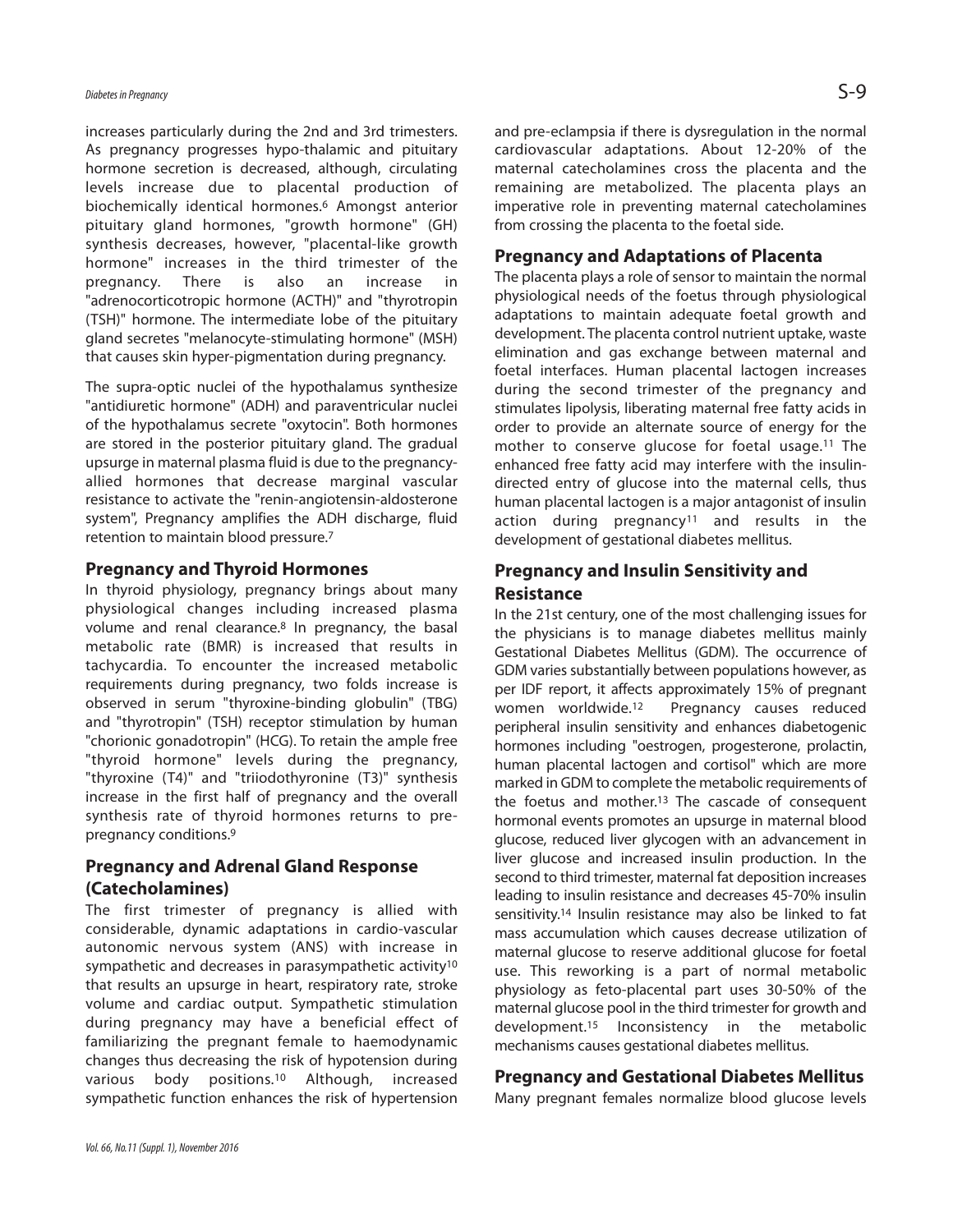increases particularly during the 2nd and 3rd trimesters. As pregnancy progresses hypo-thalamic and pituitary hormone secretion is decreased, although, circulating levels increase due to placental production of biochemically identical hormones. <sup>6</sup> Amongst anterior pituitary gland hormones, "growth hormone" (GH) synthesis decreases, however, "placental-like growth hormone" increases in the third trimester of the pregnancy. There is also an increase in "adrenocorticotropic hormone (ACTH)" and "thyrotropin (TSH)" hormone. The intermediate lobe of the pituitary gland secretes "melanocyte-stimulating hormone" (MSH) that causes skin hyper-pigmentation during pregnancy.

The supra-optic nuclei of the hypothalamus synthesize "antidiuretic hormone" (ADH) and paraventricular nuclei of the hypothalamus secrete "oxytocin". Both hormones are stored in the posterior pituitary gland. The gradual upsurge in maternal plasma fluid is due to the pregnancyallied hormones that decrease marginal vascular resistance to activate the "renin-angiotensin-aldosterone system", Pregnancy amplifies the ADH discharge, fluid retention to maintain blood pressure. 7

#### **Pregnancy and Thyroid Hormones**

In thyroid physiology, pregnancy brings about many physiological changes including increased plasma volume and renal clearance. <sup>8</sup> In pregnancy, the basal metabolic rate (BMR) is increased that results in tachycardia. To encounter the increased metabolic requirements during pregnancy, two folds increase is observed in serum "thyroxine-binding globulin" (TBG) and "thyrotropin" (TSH) receptor stimulation by human "chorionic gonadotropin" (HCG). To retain the ample free "thyroid hormone" levels during the pregnancy, "thyroxine (T4)" and "triiodothyronine (T3)" synthesis increase in the first half of pregnancy and the overall synthesis rate of thyroid hormones returns to prepregnancy conditions. 9

# **Pregnancy and Adrenal Gland Response (Catecholamines)**

The first trimester of pregnancy is allied with considerable, dynamic adaptations in cardio-vascular autonomic nervous system (ANS) with increase in sympathetic and decreases in parasympathetic activity<sup>10</sup> that results an upsurge in heart, respiratory rate, stroke volume and cardiac output. Sympathetic stimulation during pregnancy may have a beneficial effect of familiarizing the pregnant female to haemodynamic changes thus decreasing the risk of hypotension during various body positions. <sup>10</sup> Although, increased sympathetic function enhances the risk of hypertension and pre-eclampsia if there is dysregulation in the normal cardiovascular adaptations. About 12-20% of the maternal catecholamines cross the placenta and the remaining are metabolized. The placenta plays an imperative role in preventing maternal catecholamines from crossing the placenta to the foetal side.

### **Pregnancy and Adaptations of Placenta**

The placenta plays a role of sensor to maintain the normal physiological needs of the foetus through physiological adaptations to maintain adequate foetal growth and development. The placenta control nutrient uptake, waste elimination and gas exchange between maternal and foetal interfaces. Human placental lactogen increases during the second trimester of the pregnancy and stimulates lipolysis, liberating maternal free fatty acids in order to provide an alternate source of energy for the mother to conserve glucose for foetal usage. <sup>11</sup> The enhanced free fatty acid may interfere with the insulindirected entry of glucose into the maternal cells, thus human placental lactogen is a major antagonist of insulin action during pregnancy<sup>11</sup> and results in the development of gestational diabetes mellitus.

# **Pregnancy and Insulin Sensitivity and Resistance**

In the 21st century, one of the most challenging issues for the physicians is to manage diabetes mellitus mainly Gestational Diabetes Mellitus (GDM). The occurrence of GDM varies substantially between populations however, as per IDF report, it affects approximately 15% of pregnant women worldwide. Pregnancy causes reduced peripheral insulin sensitivity and enhances diabetogenic hormones including "oestrogen, progesterone, prolactin, human placental lactogen and cortisol" which are more marked in GDM to complete the metabolic requirements of the foetus and mother. <sup>13</sup> The cascade of consequent hormonal events promotes an upsurge in maternal blood glucose, reduced liver glycogen with an advancement in liver glucose and increased insulin production. In the second to third trimester, maternal fat deposition increases leading to insulin resistance and decreases 45-70% insulin sensitivity.<sup>14</sup> Insulin resistance may also be linked to fat mass accumulation which causes decrease utilization of maternal glucose to reserve additional glucose for foetal use. This reworking is a part of normal metabolic physiology as feto-placental part uses 30-50% of the maternal glucose pool in the third trimester for growth and development. <sup>15</sup> Inconsistency in the metabolic mechanisms causes gestational diabetes mellitus.

### **Pregnancy and Gestational Diabetes Mellitus**

Many pregnant females normalize blood glucose levels